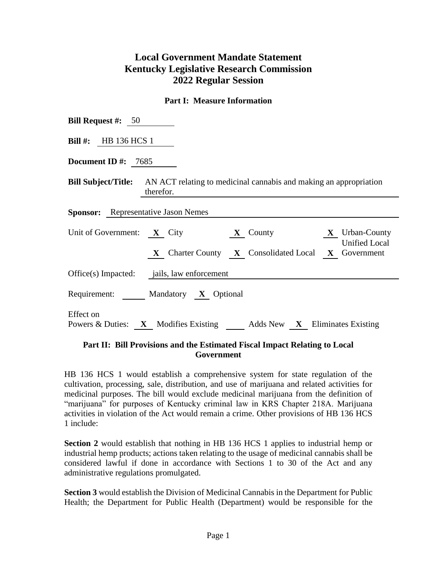# **Local Government Mandate Statement Kentucky Legislative Research Commission 2022 Regular Session**

#### **Part I: Measure Information**

| <b>Bill Request #:</b> $50$                                                                                                                         |  |  |  |  |  |  |  |
|-----------------------------------------------------------------------------------------------------------------------------------------------------|--|--|--|--|--|--|--|
| Bill $\#$ : HB 136 HCS 1                                                                                                                            |  |  |  |  |  |  |  |
| Document ID $\#$ : 7685                                                                                                                             |  |  |  |  |  |  |  |
| <b>Bill Subject/Title:</b> AN ACT relating to medicinal cannabis and making an appropriation<br>therefor.                                           |  |  |  |  |  |  |  |
| <b>Sponsor:</b> Representative Jason Nemes                                                                                                          |  |  |  |  |  |  |  |
| Unit of Government: $X$ City<br><b>X</b> County <b>X</b> Urban-County<br><b>Unified Local</b><br>X Charter County X Consolidated Local X Government |  |  |  |  |  |  |  |
| Office(s) Impacted: jails, law enforcement                                                                                                          |  |  |  |  |  |  |  |
| Requirement: Mandatory X Optional                                                                                                                   |  |  |  |  |  |  |  |
| <b>Effect</b> on<br>Powers & Duties: X Modifies Existing Adds New X Eliminates Existing                                                             |  |  |  |  |  |  |  |

### **Part II: Bill Provisions and the Estimated Fiscal Impact Relating to Local Government**

HB 136 HCS 1 would establish a comprehensive system for state regulation of the cultivation, processing, sale, distribution, and use of marijuana and related activities for medicinal purposes. The bill would exclude medicinal marijuana from the definition of "marijuana" for purposes of Kentucky criminal law in KRS Chapter 218A. Marijuana activities in violation of the Act would remain a crime. Other provisions of HB 136 HCS 1 include:

**Section 2** would establish that nothing in HB 136 HCS 1 applies to industrial hemp or industrial hemp products; actions taken relating to the usage of medicinal cannabis shall be considered lawful if done in accordance with Sections 1 to 30 of the Act and any administrative regulations promulgated.

**Section 3** would establish the Division of Medicinal Cannabis in the Department for Public Health; the Department for Public Health (Department) would be responsible for the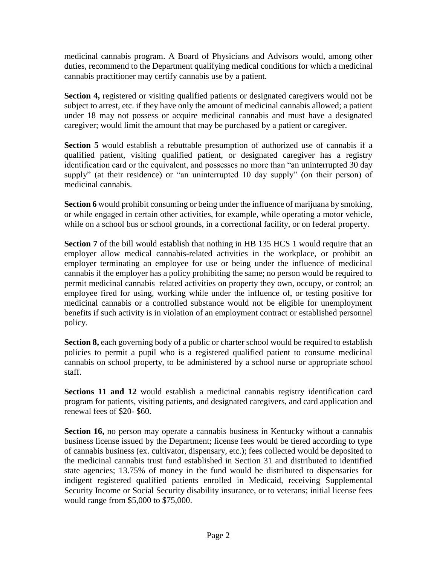medicinal cannabis program. A Board of Physicians and Advisors would, among other duties, recommend to the Department qualifying medical conditions for which a medicinal cannabis practitioner may certify cannabis use by a patient.

**Section 4,** registered or visiting qualified patients or designated caregivers would not be subject to arrest, etc. if they have only the amount of medicinal cannabis allowed; a patient under 18 may not possess or acquire medicinal cannabis and must have a designated caregiver; would limit the amount that may be purchased by a patient or caregiver.

**Section 5** would establish a rebuttable presumption of authorized use of cannabis if a qualified patient, visiting qualified patient, or designated caregiver has a registry identification card or the equivalent, and possesses no more than "an uninterrupted 30 day supply" (at their residence) or "an uninterrupted 10 day supply" (on their person) of medicinal cannabis.

**Section 6** would prohibit consuming or being under the influence of marijuana by smoking, or while engaged in certain other activities, for example, while operating a motor vehicle, while on a school bus or school grounds, in a correctional facility, or on federal property.

**Section 7** of the bill would establish that nothing in HB 135 HCS 1 would require that an employer allow medical cannabis-related activities in the workplace, or prohibit an employer terminating an employee for use or being under the influence of medicinal cannabis if the employer has a policy prohibiting the same; no person would be required to permit medicinal cannabis–related activities on property they own, occupy, or control; an employee fired for using, working while under the influence of, or testing positive for medicinal cannabis or a controlled substance would not be eligible for unemployment benefits if such activity is in violation of an employment contract or established personnel policy.

**Section 8,** each governing body of a public or charter school would be required to establish policies to permit a pupil who is a registered qualified patient to consume medicinal cannabis on school property, to be administered by a school nurse or appropriate school staff.

**Sections 11 and 12** would establish a medicinal cannabis registry identification card program for patients, visiting patients, and designated caregivers, and card application and renewal fees of \$20- \$60.

**Section 16,** no person may operate a cannabis business in Kentucky without a cannabis business license issued by the Department; license fees would be tiered according to type of cannabis business (ex. cultivator, dispensary, etc.); fees collected would be deposited to the medicinal cannabis trust fund established in Section 31 and distributed to identified state agencies; 13.75% of money in the fund would be distributed to dispensaries for indigent registered qualified patients enrolled in Medicaid, receiving Supplemental Security Income or Social Security disability insurance, or to veterans; initial license fees would range from \$5,000 to \$75,000.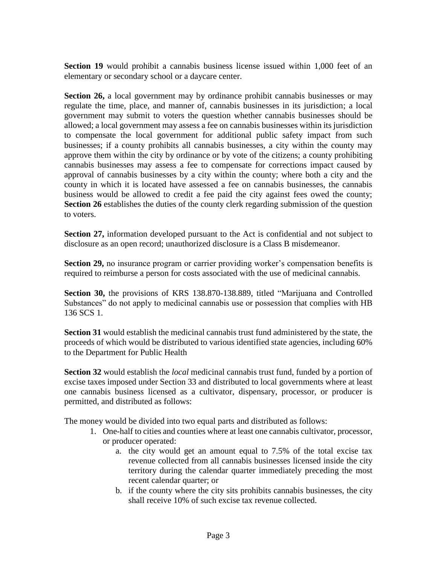**Section 19** would prohibit a cannabis business license issued within 1,000 feet of an elementary or secondary school or a daycare center.

**Section 26,** a local government may by ordinance prohibit cannabis businesses or may regulate the time, place, and manner of, cannabis businesses in its jurisdiction; a local government may submit to voters the question whether cannabis businesses should be allowed; a local government may assess a fee on cannabis businesses within its jurisdiction to compensate the local government for additional public safety impact from such businesses; if a county prohibits all cannabis businesses, a city within the county may approve them within the city by ordinance or by vote of the citizens; a county prohibiting cannabis businesses may assess a fee to compensate for corrections impact caused by approval of cannabis businesses by a city within the county; where both a city and the county in which it is located have assessed a fee on cannabis businesses, the cannabis business would be allowed to credit a fee paid the city against fees owed the county; **Section 26** establishes the duties of the county clerk regarding submission of the question to voters.

**Section 27,** information developed pursuant to the Act is confidential and not subject to disclosure as an open record; unauthorized disclosure is a Class B misdemeanor.

**Section 29,** no insurance program or carrier providing worker's compensation benefits is required to reimburse a person for costs associated with the use of medicinal cannabis.

**Section 30,** the provisions of KRS 138.870-138.889, titled "Marijuana and Controlled Substances" do not apply to medicinal cannabis use or possession that complies with HB 136 SCS 1.

**Section 31** would establish the medicinal cannabis trust fund administered by the state, the proceeds of which would be distributed to various identified state agencies, including 60% to the Department for Public Health

**Section 32** would establish the *local* medicinal cannabis trust fund, funded by a portion of excise taxes imposed under Section 33 and distributed to local governments where at least one cannabis business licensed as a cultivator, dispensary, processor, or producer is permitted, and distributed as follows:

The money would be divided into two equal parts and distributed as follows:

- 1. One-half to cities and counties where at least one cannabis cultivator, processor, or producer operated:
	- a. the city would get an amount equal to 7.5% of the total excise tax revenue collected from all cannabis businesses licensed inside the city territory during the calendar quarter immediately preceding the most recent calendar quarter; or
	- b. if the county where the city sits prohibits cannabis businesses, the city shall receive 10% of such excise tax revenue collected.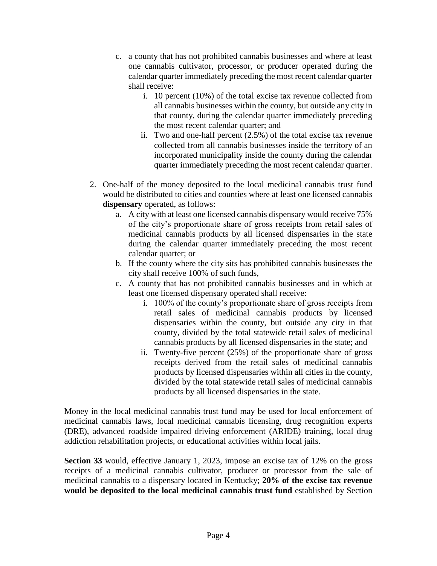- c. a county that has not prohibited cannabis businesses and where at least one cannabis cultivator, processor, or producer operated during the calendar quarter immediately preceding the most recent calendar quarter shall receive:
	- i. 10 percent (10%) of the total excise tax revenue collected from all cannabis businesses within the county, but outside any city in that county, during the calendar quarter immediately preceding the most recent calendar quarter; and
	- ii. Two and one-half percent (2.5%) of the total excise tax revenue collected from all cannabis businesses inside the territory of an incorporated municipality inside the county during the calendar quarter immediately preceding the most recent calendar quarter.
- 2. One-half of the money deposited to the local medicinal cannabis trust fund would be distributed to cities and counties where at least one licensed cannabis **dispensary** operated, as follows:
	- a. A city with at least one licensed cannabis dispensary would receive 75% of the city's proportionate share of gross receipts from retail sales of medicinal cannabis products by all licensed dispensaries in the state during the calendar quarter immediately preceding the most recent calendar quarter; or
	- b. If the county where the city sits has prohibited cannabis businesses the city shall receive 100% of such funds,
	- c. A county that has not prohibited cannabis businesses and in which at least one licensed dispensary operated shall receive:
		- i. 100% of the county's proportionate share of gross receipts from retail sales of medicinal cannabis products by licensed dispensaries within the county, but outside any city in that county, divided by the total statewide retail sales of medicinal cannabis products by all licensed dispensaries in the state; and
		- ii. Twenty-five percent (25%) of the proportionate share of gross receipts derived from the retail sales of medicinal cannabis products by licensed dispensaries within all cities in the county, divided by the total statewide retail sales of medicinal cannabis products by all licensed dispensaries in the state.

Money in the local medicinal cannabis trust fund may be used for local enforcement of medicinal cannabis laws, local medicinal cannabis licensing, drug recognition experts (DRE), advanced roadside impaired driving enforcement (ARIDE) training, local drug addiction rehabilitation projects, or educational activities within local jails.

**Section 33** would, effective January 1, 2023, impose an excise tax of 12% on the gross receipts of a medicinal cannabis cultivator, producer or processor from the sale of medicinal cannabis to a dispensary located in Kentucky; **20% of the excise tax revenue would be deposited to the local medicinal cannabis trust fund** established by Section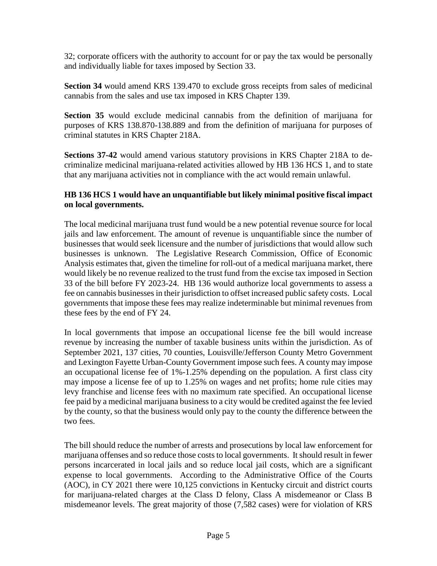32; corporate officers with the authority to account for or pay the tax would be personally and individually liable for taxes imposed by Section 33.

**Section 34** would amend KRS 139.470 to exclude gross receipts from sales of medicinal cannabis from the sales and use tax imposed in KRS Chapter 139.

**Section 35** would exclude medicinal cannabis from the definition of marijuana for purposes of KRS 138.870-138.889 and from the definition of marijuana for purposes of criminal statutes in KRS Chapter 218A.

**Sections 37-42** would amend various statutory provisions in KRS Chapter 218A to decriminalize medicinal marijuana-related activities allowed by HB 136 HCS 1, and to state that any marijuana activities not in compliance with the act would remain unlawful.

## **HB 136 HCS 1 would have an unquantifiable but likely minimal positive fiscal impact on local governments.**

The local medicinal marijuana trust fund would be a new potential revenue source for local jails and law enforcement. The amount of revenue is unquantifiable since the number of businesses that would seek licensure and the number of jurisdictions that would allow such businesses is unknown. The Legislative Research Commission, Office of Economic Analysis estimates that, given the timeline for roll-out of a medical marijuana market, there would likely be no revenue realized to the trust fund from the excise tax imposed in Section 33 of the bill before FY 2023-24. HB 136 would authorize local governments to assess a fee on cannabis businesses in their jurisdiction to offset increased public safety costs. Local governments that impose these fees may realize indeterminable but minimal revenues from these fees by the end of FY 24.

In local governments that impose an occupational license fee the bill would increase revenue by increasing the number of taxable business units within the jurisdiction. As of September 2021, 137 cities, 70 counties, Louisville/Jefferson County Metro Government and Lexington Fayette Urban-County Government impose such fees. A county may impose an occupational license fee of 1%-1.25% depending on the population. A first class city may impose a license fee of up to 1.25% on wages and net profits; home rule cities may levy franchise and license fees with no maximum rate specified. An occupational license fee paid by a medicinal marijuana business to a city would be credited against the fee levied by the county, so that the business would only pay to the county the difference between the two fees.

The bill should reduce the number of arrests and prosecutions by local law enforcement for marijuana offenses and so reduce those costs to local governments. It should result in fewer persons incarcerated in local jails and so reduce local jail costs, which are a significant expense to local governments. According to the Administrative Office of the Courts (AOC), in CY 2021 there were 10,125 convictions in Kentucky circuit and district courts for marijuana-related charges at the Class D felony, Class A misdemeanor or Class B misdemeanor levels. The great majority of those (7,582 cases) were for violation of KRS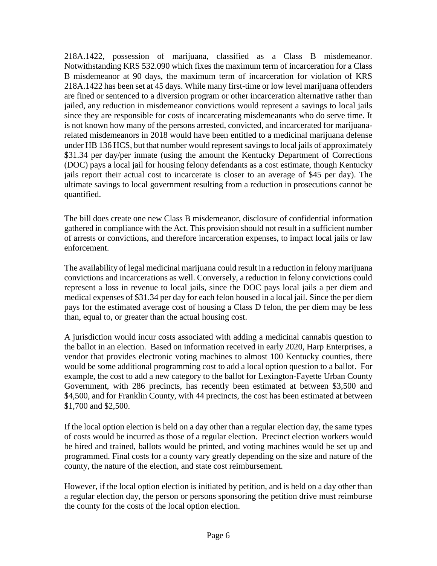218A.1422, possession of marijuana, classified as a Class B misdemeanor. Notwithstanding KRS 532.090 which fixes the maximum term of incarceration for a Class B misdemeanor at 90 days, the maximum term of incarceration for violation of KRS 218A.1422 has been set at 45 days. While many first-time or low level marijuana offenders are fined or sentenced to a diversion program or other incarceration alternative rather than jailed, any reduction in misdemeanor convictions would represent a savings to local jails since they are responsible for costs of incarcerating misdemeanants who do serve time. It is not known how many of the persons arrested, convicted, and incarcerated for marijuanarelated misdemeanors in 2018 would have been entitled to a medicinal marijuana defense under HB 136 HCS, but that number would represent savings to local jails of approximately \$31.34 per day/per inmate (using the amount the Kentucky Department of Corrections (DOC) pays a local jail for housing felony defendants as a cost estimate, though Kentucky jails report their actual cost to incarcerate is closer to an average of \$45 per day). The ultimate savings to local government resulting from a reduction in prosecutions cannot be quantified.

The bill does create one new Class B misdemeanor, disclosure of confidential information gathered in compliance with the Act. This provision should not result in a sufficient number of arrests or convictions, and therefore incarceration expenses, to impact local jails or law enforcement.

The availability of legal medicinal marijuana could result in a reduction in felony marijuana convictions and incarcerations as well. Conversely, a reduction in felony convictions could represent a loss in revenue to local jails, since the DOC pays local jails a per diem and medical expenses of \$31.34 per day for each felon housed in a local jail. Since the per diem pays for the estimated average cost of housing a Class D felon, the per diem may be less than, equal to, or greater than the actual housing cost.

A jurisdiction would incur costs associated with adding a medicinal cannabis question to the ballot in an election. Based on information received in early 2020, Harp Enterprises, a vendor that provides electronic voting machines to almost 100 Kentucky counties, there would be some additional programming cost to add a local option question to a ballot. For example, the cost to add a new category to the ballot for Lexington-Fayette Urban County Government, with 286 precincts, has recently been estimated at between \$3,500 and \$4,500, and for Franklin County, with 44 precincts, the cost has been estimated at between \$1,700 and \$2,500.

If the local option election is held on a day other than a regular election day, the same types of costs would be incurred as those of a regular election. Precinct election workers would be hired and trained, ballots would be printed, and voting machines would be set up and programmed. Final costs for a county vary greatly depending on the size and nature of the county, the nature of the election, and state cost reimbursement.

However, if the local option election is initiated by petition, and is held on a day other than a regular election day, the person or persons sponsoring the petition drive must reimburse the county for the costs of the local option election.